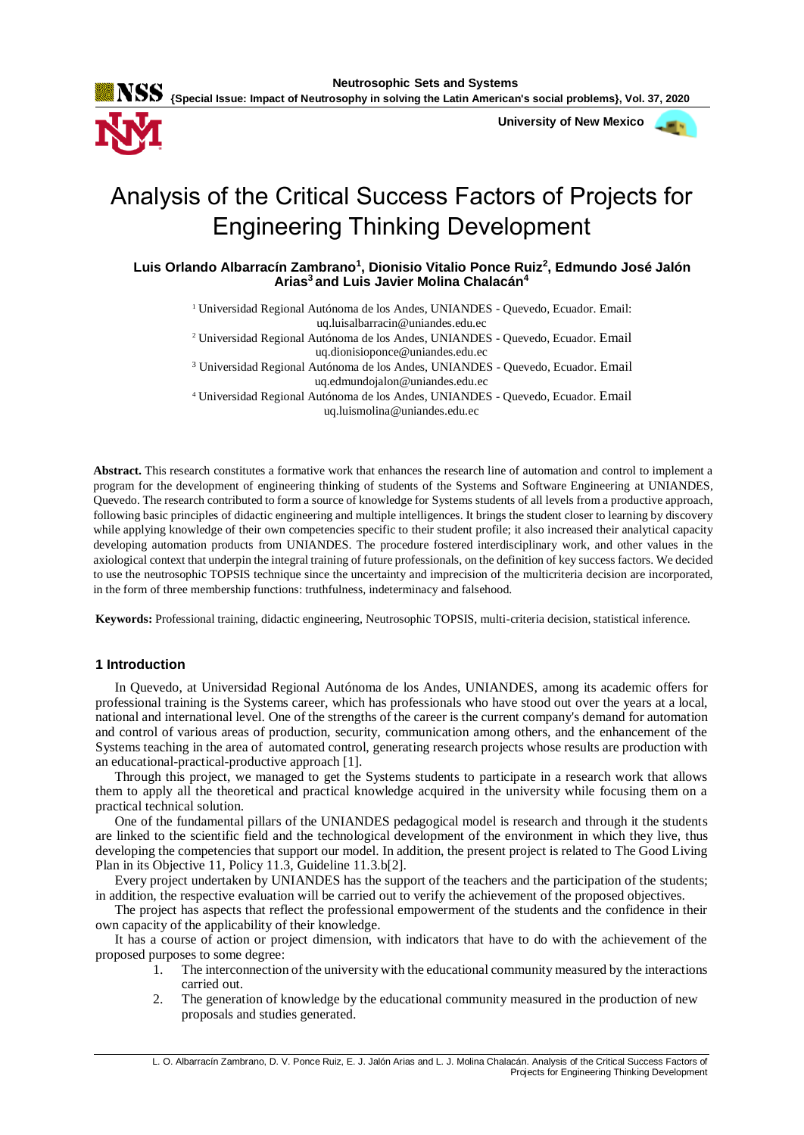**Neutrosophic Sets and Systems {Special Issue: Impact of Neutrosophy in solving the Latin American's social problems}, Vol. 37, 2020**

 **University of New Mexico**



# Analysis of the Critical Success Factors of Projects for Engineering Thinking Development

**Luis Orlando Albarracín Zambrano<sup>1</sup> , Dionisio Vitalio Ponce Ruiz<sup>2</sup> , Edmundo José Jalón Arias<sup>3</sup>and Luis Javier Molina Chalacán<sup>4</sup>**

<sup>1</sup> Universidad Regional Autónoma de los Andes, UNIANDES - Quevedo, Ecuador. Email:

uq.luisalbarracin@uniandes.edu.ec

<sup>2</sup> Universidad Regional Autónoma de los Andes, UNIANDES - Quevedo, Ecuador. Email uq.dionisioponce@uniandes.edu.ec

<sup>3</sup> Universidad Regional Autónoma de los Andes, UNIANDES - Quevedo, Ecuador. Email

uq.edmundojalon@uniandes.edu.ec

<sup>4</sup> Universidad Regional Autónoma de los Andes, UNIANDES - Quevedo, Ecuador. Email uq.luismolina@uniandes.edu.ec

**Abstract.** This research constitutes a formative work that enhances the research line of automation and control to implement a program for the development of engineering thinking of students of the Systems and Software Engineering at UNIANDES, Quevedo. The research contributed to form a source of knowledge for Systems students of all levels from a productive approach, following basic principles of didactic engineering and multiple intelligences. It brings the student closer to learning by discovery while applying knowledge of their own competencies specific to their student profile; it also increased their analytical capacity developing automation products from UNIANDES. The procedure fostered interdisciplinary work, and other values in the axiological context that underpin the integral training of future professionals, on the definition of key success factors. We decided to use the neutrosophic TOPSIS technique since the uncertainty and imprecision of the multicriteria decision are incorporated, in the form of three membership functions: truthfulness, indeterminacy and falsehood.

**Keywords:** Professional training, didactic engineering, Neutrosophic TOPSIS, multi-criteria decision, statistical inference.

# **1 Introduction**

In Quevedo, at Universidad Regional Autónoma de los Andes, UNIANDES, among its academic offers for professional training is the Systems career, which has professionals who have stood out over the years at a local, national and international level. One of the strengths of the career is the current company's demand for automation and control of various areas of production, security, communication among others, and the enhancement of the Systems teaching in the area of automated control, generating research projects whose results are production with an educational-practical-productive approach [\[1\]](#page-7-0).

Through this project, we managed to get the Systems students to participate in a research work that allows them to apply all the theoretical and practical knowledge acquired in the university while focusing them on a practical technical solution.

One of the fundamental pillars of the UNIANDES pedagogical model is research and through it the students are linked to the scientific field and the technological development of the environment in which they live, thus developing the competencies that support our model. In addition, the present project is related to The Good Living Plan in its Objective 11, Policy 11.3, Guideline 11.3.b[\[2\]](#page-7-1).

Every project undertaken by UNIANDES has the support of the teachers and the participation of the students; in addition, the respective evaluation will be carried out to verify the achievement of the proposed objectives.

The project has aspects that reflect the professional empowerment of the students and the confidence in their own capacity of the applicability of their knowledge.

It has a course of action or project dimension, with indicators that have to do with the achievement of the proposed purposes to some degree:

- 1. The interconnection of the university with the educational community measured by the interactions carried out.
- 2. The generation of knowledge by the educational community measured in the production of new proposals and studies generated.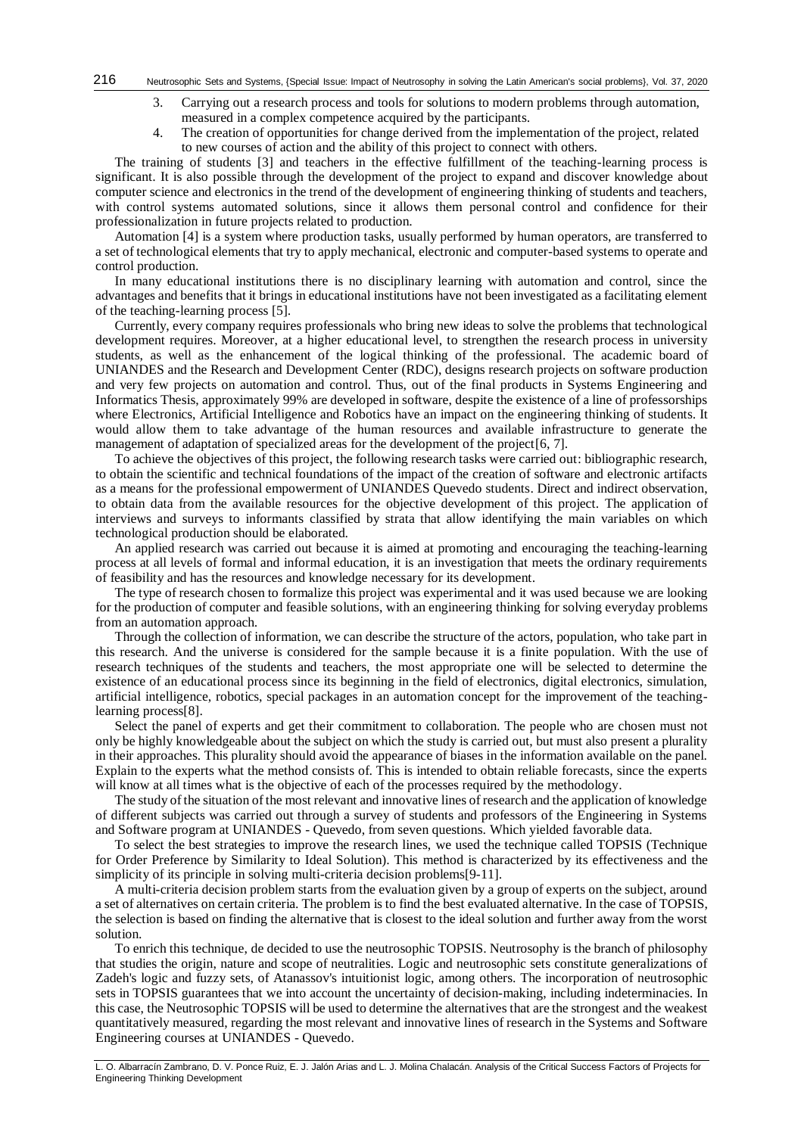- 3. Carrying out a research process and tools for solutions to modern problems through automation, measured in a complex competence acquired by the participants.
- 4. The creation of opportunities for change derived from the implementation of the project, related to new courses of action and the ability of this project to connect with others.

The training of students [\[3\]](#page-7-2) and teachers in the effective fulfillment of the teaching-learning process is significant. It is also possible through the development of the project to expand and discover knowledge about computer science and electronics in the trend of the development of engineering thinking of students and teachers, with control systems automated solutions, since it allows them personal control and confidence for their professionalization in future projects related to production.

Automation [\[4\]](#page-7-3) is a system where production tasks, usually performed by human operators, are transferred to a set of technological elements that try to apply mechanical, electronic and computer-based systems to operate and control production.

In many educational institutions there is no disciplinary learning with automation and control, since the advantages and benefits that it brings in educational institutions have not been investigated as a facilitating element of the teaching-learning process [\[5\]](#page-7-4).

Currently, every company requires professionals who bring new ideas to solve the problems that technological development requires. Moreover, at a higher educational level, to strengthen the research process in university students, as well as the enhancement of the logical thinking of the professional. The academic board of UNIANDES and the Research and Development Center (RDC), designs research projects on software production and very few projects on automation and control. Thus, out of the final products in Systems Engineering and Informatics Thesis, approximately 99% are developed in software, despite the existence of a line of professorships where Electronics, Artificial Intelligence and Robotics have an impact on the engineering thinking of students. It would allow them to take advantage of the human resources and available infrastructure to generate the management of adaptation of specialized areas for the development of the project $[6, 7]$  $[6, 7]$ .

To achieve the objectives of this project, the following research tasks were carried out: bibliographic research, to obtain the scientific and technical foundations of the impact of the creation of software and electronic artifacts as a means for the professional empowerment of UNIANDES Quevedo students. Direct and indirect observation, to obtain data from the available resources for the objective development of this project. The application of interviews and surveys to informants classified by strata that allow identifying the main variables on which technological production should be elaborated.

An applied research was carried out because it is aimed at promoting and encouraging the teaching-learning process at all levels of formal and informal education, it is an investigation that meets the ordinary requirements of feasibility and has the resources and knowledge necessary for its development.

The type of research chosen to formalize this project was experimental and it was used because we are looking for the production of computer and feasible solutions, with an engineering thinking for solving everyday problems from an automation approach.

Through the collection of information, we can describe the structure of the actors, population, who take part in this research. And the universe is considered for the sample because it is a finite population. With the use of research techniques of the students and teachers, the most appropriate one will be selected to determine the existence of an educational process since its beginning in the field of electronics, digital electronics, simulation, artificial intelligence, robotics, special packages in an automation concept for the improvement of the teachinglearning process[\[8\]](#page-7-7).

Select the panel of experts and get their commitment to collaboration. The people who are chosen must not only be highly knowledgeable about the subject on which the study is carried out, but must also present a plurality in their approaches. This plurality should avoid the appearance of biases in the information available on the panel. Explain to the experts what the method consists of. This is intended to obtain reliable forecasts, since the experts will know at all times what is the objective of each of the processes required by the methodology.

The study of the situation of the most relevant and innovative lines of research and the application of knowledge of different subjects was carried out through a survey of students and professors of the Engineering in Systems and Software program at UNIANDES - Quevedo, from seven questions. Which yielded favorable data.

To select the best strategies to improve the research lines, we used the technique called TOPSIS (Technique for Order Preference by Similarity to Ideal Solution). This method is characterized by its effectiveness and the simplicity of its principle in solving multi-criteria decision problems[\[9-11\]](#page-7-8).

A multi-criteria decision problem starts from the evaluation given by a group of experts on the subject, around a set of alternatives on certain criteria. The problem is to find the best evaluated alternative. In the case of TOPSIS, the selection is based on finding the alternative that is closest to the ideal solution and further away from the worst solution.

To enrich this technique, de decided to use the neutrosophic TOPSIS. Neutrosophy is the branch of philosophy that studies the origin, nature and scope of neutralities. Logic and neutrosophic sets constitute generalizations of Zadeh's logic and fuzzy sets, of Atanassov's intuitionist logic, among others. The incorporation of neutrosophic sets in TOPSIS guarantees that we into account the uncertainty of decision-making, including indeterminacies. In this case, the Neutrosophic TOPSIS will be used to determine the alternatives that are the strongest and the weakest quantitatively measured, regarding the most relevant and innovative lines of research in the Systems and Software Engineering courses at UNIANDES - Quevedo.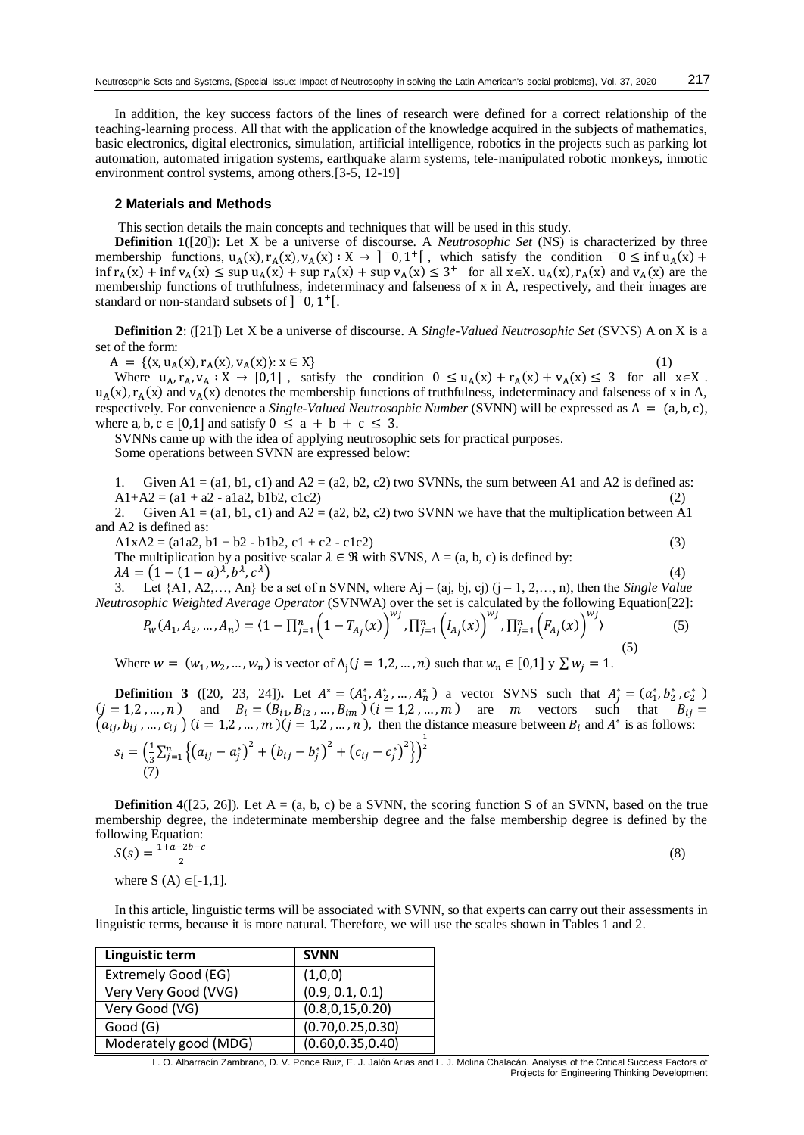In addition, the key success factors of the lines of research were defined for a correct relationship of the teaching-learning process. All that with the application of the knowledge acquired in the subjects of mathematics, basic electronics, digital electronics, simulation, artificial intelligence, robotics in the projects such as parking lot automation, automated irrigation systems, earthquake alarm systems, tele-manipulated robotic monkeys, inmotic environment control systems, among others.[\[3-5,](#page-7-2) [12-19\]](#page-7-9)

## **2 Materials and Methods**

This section details the main concepts and techniques that will be used in this study.

**Definition 1**([\[20\]](#page-8-0)): Let X be a universe of discourse. A *Neutrosophic Set* (NS) is characterized by three membership functions,  $u_A(x)$ ,  $r_A(x)$ ,  $v_A(x)$ :  $X \to 0$ ,  $\infty$ ,  $1^+$  [, which satisfy the condition  $\infty \leq \inf u_A(x) +$  $\inf r_A(x) + \inf v_A(x) \leq \sup u_A(x) + \sup r_A(x) + \sup v_A(x) \leq 3^+$  for all  $x \in X$ .  $u_A(x)$ ,  $r_A(x)$  and  $v_A(x)$  are the membership functions of truthfulness, indeterminacy and falseness of x in A, respectively, and their images are standard or non-standard subsets of  $]$  <sup>-</sup>0, 1<sup>+</sup>[.

**Definition 2**: ([\[21\]](#page-8-1)) Let X be a universe of discourse. A *Single-Valued Neutrosophic Set* (SVNS) A on X is a set of the form:

$$
A = \{ (x, u_A(x), r_A(x), v_A(x)) : x \in X \}
$$
 (1)

Where  $u_A, r_A, v_A : X \to [0,1]$ , satisfy the condition  $0 \le u_A(x) + r_A(x) + v_A(x) \le 3$  for all  $x \in X$ .  $u_A(x)$ ,  $r_A(x)$  and  $v_A(x)$  denotes the membership functions of truthfulness, indeterminacy and falseness of x in A, respectively. For convenience a *Single-Valued Neutrosophic Number* (SVNN) will be expressed as A = (a, b, c), where a, b,  $c \in [0,1]$  and satisfy  $0 \le a + b + c \le 3$ .

SVNNs came up with the idea of applying neutrosophic sets for practical purposes. Some operations between SVNN are expressed below:

1. Given  $A1 = (a1, b1, c1)$  and  $A2 = (a2, b2, c2)$  two SVNNs, the sum between A1 and A2 is defined as:  $A1+A2 = (a1 + a2 - a1a2, b1b2, c1c2)$ 

2. Given A1 = (a1, b1, c1) and A2 = (a2, b2, c2) two SVNN we have that the multiplication between A1 and A2 is defined as:

 $A1xA2 = (a1a2, b1 + b2 - b1b2, c1 + c2 - c1c2)$  (3)

The multiplication by a positive scalar  $\lambda \in \mathcal{R}$  with SVNS, A = (a, b, c) is defined by: ) (4)

 $\lambda A = (1 - (1 - a)^{\lambda}, b^{\lambda}, c^{\lambda})$ 

3. Let  $\{A1, A2, \ldots, An\}$  be a set of n SVNN, where  $Aj = (aj, bj, cj)$   $(j = 1, 2, \ldots, n)$ , then the *Single Value Neutrosophic Weighted Average Operator* (SVNWA) over the set is calculated by the following Equation[\[22\]](#page-8-2):<br> $\begin{pmatrix} w_j & \sqrt{w_j} & \sqrt{w_j} \end{pmatrix}$ 

$$
P_{w}(A_1, A_2, ..., A_n) = \langle 1 - \prod_{j=1}^n \left(1 - T_{A_j}(x)\right)^{n_j}, \prod_{j=1}^n \left(I_{A_j}(x)\right)^{n_j}, \prod_{j=1}^n \left(F_{A_j}(x)\right)^{n_j}\rangle
$$
(5)

Where  $w = (w_1, w_2, ..., w_n)$  is vector of  $A_j (j = 1, 2, ..., n)$  such that  $w_n \in [0, 1]$   $y \sum w_j = 1$ .

**Definition 3** ([\[20,](#page-8-0) [23,](#page-8-3) [24\]](#page-8-4)). Let  $A^* = (A_1^*, A_2^*, \dots, A_n^*)$  a vector SVNS such that  $A_j^* = (a_1^*, b_2^*, c_2^*)$  $(j = 1, 2, ..., n)$  and  $B_i = (B_{i1}, B_{i2}, ..., B_{im})$   $(i = 1, 2, ..., m)$  are m vectors such that  $B_{ij} =$  $(a_{ij}, b_{ij}, ..., c_{ij})$   $(i = 1, 2, ..., m)$   $(j = 1, 2, ..., n)$ , then the distance measure between  $B_i$  and  $A^*$  is as follows:

$$
s_i = \left(\frac{1}{3}\sum_{j=1}^n \left\{ (a_{ij} - a_j^*)^2 + (b_{ij} - b_j^*)^2 + (c_{ij} - c_j^*)^2 \right\} \right)^{\frac{1}{2}}
$$
  
(7)

**Definition 4**( $[25, 26]$  $[25, 26]$ ). Let  $A = (a, b, c)$  be a SVNN, the scoring function S of an SVNN, based on the true membership degree, the indeterminate membership degree and the false membership degree is defined by the following Equation:

$$
S(s) = \frac{1+a-2b-c}{2} \tag{8}
$$

where S  $(A) \in [-1,1]$ .

In this article, linguistic terms will be associated with SVNN, so that experts can carry out their assessments in linguistic terms, because it is more natural. Therefore, we will use the scales shown in Tables 1 and 2.

| Linguistic term       | <b>SVNN</b>        |
|-----------------------|--------------------|
| Extremely Good (EG)   | (1,0,0)            |
| Very Very Good (VVG)  | (0.9, 0.1, 0.1)    |
| Very Good (VG)        | (0.8, 0, 15, 0.20) |
| Good (G)              | (0.70, 0.25, 0.30) |
| Moderately good (MDG) | (0.60, 0.35, 0.40) |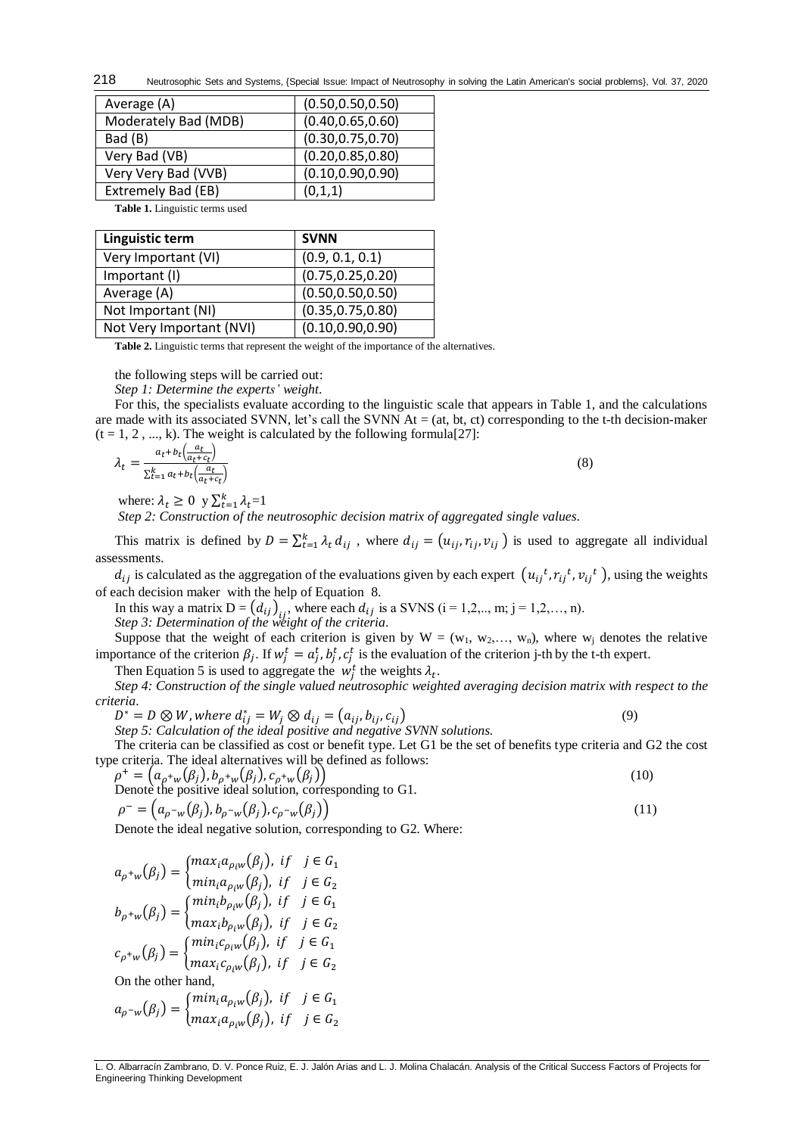Neutrosophic Sets and Systems, {Special Issue: Impact of Neutrosophy in solving the Latin American's social problems}, Vol. 37, 2020 218

| Average (A)          | (0.50, 0.50, 0.50) |
|----------------------|--------------------|
| Moderately Bad (MDB) | (0.40, 0.65, 0.60) |
| Bad (B)              | (0.30, 0.75, 0.70) |
| Very Bad (VB)        | (0.20, 0.85, 0.80) |
| Very Very Bad (VVB)  | (0.10, 0.90, 0.90) |
| Extremely Bad (EB)   | (0,1,1)            |

**Table 1.** Linguistic terms used

| Linguistic term          | <b>SVNN</b>        |
|--------------------------|--------------------|
| Very Important (VI)      | (0.9, 0.1, 0.1)    |
| Important (I)            | (0.75, 0.25, 0.20) |
| Average (A)              | (0.50, 0.50, 0.50) |
| Not Important (NI)       | (0.35, 0.75, 0.80) |
| Not Very Important (NVI) | (0.10, 0.90, 0.90) |

**Table 2.** Linguistic terms that represent the weight of the importance of the alternatives.

the following steps will be carried out:

*Step 1: Determine the experts' weight*.

For this, the specialists evaluate according to the linguistic scale that appears in Table 1, and the calculations are made with its associated SVNN, let's call the SVNN  $At = (at, bt, ct)$  corresponding to the t-th decision-maker  $(t = 1, 2, ..., k)$ . The weight is calculated by the following formula[\[27\]](#page-8-7):

$$
\lambda_t = \frac{a_t + b_t \left(\frac{a_t}{a_t + c_t}\right)}{\sum_{t=1}^k a_t + b_t \left(\frac{a_t}{a_t + c_t}\right)}\tag{8}
$$

where:  $\lambda_t \geq 0$  y  $\sum_{t=1}^k \lambda_t = 1$ 

*Step 2: Construction of the neutrosophic decision matrix of aggregated single values*.

This matrix is defined by  $D = \sum_{t=1}^{k} \lambda_t d_{ij}$ , where  $d_{ij} = (u_{ij}, r_{ij}, v_{ij})$  is used to aggregate all individual assessments.

 $d_{ij}$  is calculated as the aggregation of the evaluations given by each expert  $(u_{ij}^t, r_{ij}^t, v_{ij}^t)$ , using the weights of each decision maker with the help of Equation 8.

In this way a matrix  $D = (d_{ij})_{ij}$ , where each  $d_{ij}$  is a SVNS (i = 1,2,.., m; j = 1,2,..., n). *Step 3: Determination of the weight of the criteria*.

Suppose that the weight of each criterion is given by  $W = (w_1, w_2,..., w_n)$ , where  $w_i$  denotes the relative importance of the criterion  $\beta_j$ . If  $w_j^t = a_j^t$ ,  $b_j^t$ ,  $c_j^t$  is the evaluation of the criterion j-th by the t-th expert.

Then Equation 5 is used to aggregate the  $w_j^t$  the weights  $\lambda_t$ .

*Step 4: Construction of the single valued neutrosophic weighted averaging decision matrix with respect to the criteria*.

 $D^* = D \otimes W$ , where  $d_{ij}^* = W_j \otimes d_{ij} = (a_{ij}, b_{ij}, c_{ij})$  (9)

*Step 5: Calculation of the ideal positive and negative SVNN solutions.* 

The criteria can be classified as cost or benefit type. Let G1 be the set of benefits type criteria and G2 the cost type criteria. The ideal alternatives will be defined as follows:

$$
\rho^+ = (a_{\rho^+ w}(\beta_j), b_{\rho^+ w}(\beta_j), c_{\rho^+ w}(\beta_j))
$$
  
Denote the positive ideal solution, corresponding to G1.  

$$
\rho^- = (a_{\rho^- w}(\beta_j), b_{\rho^- w}(\beta_j), c_{\rho^- w}(\beta_j))
$$
 (11)

Denote the ideal negative solution, corresponding to G2. Where:

$$
a_{\rho^+w}(\beta_j) = \begin{cases} max_i a_{\rho_i w}(\beta_j), & \text{if } j \in G_1 \\ min_i a_{\rho_i w}(\beta_j), & \text{if } j \in G_2 \end{cases}
$$
  
\n
$$
b_{\rho^+w}(\beta_j) = \begin{cases} min_i b_{\rho_i w}(\beta_j), & \text{if } j \in G_1 \\ max_i b_{\rho_i w}(\beta_j), & \text{if } j \in G_2 \end{cases}
$$
  
\n
$$
c_{\rho^+w}(\beta_j) = \begin{cases} min_i c_{\rho_i w}(\beta_j), & \text{if } j \in G_1 \\ max_i c_{\rho_i w}(\beta_j), & \text{if } j \in G_2 \end{cases}
$$
  
\nOn the other hand,  
\n
$$
a_{\rho^-w}(\beta_j) = \begin{cases} min_i a_{\rho_i w}(\beta_j), & \text{if } j \in G_1 \\ max_i a_{\rho_i w}(\beta_j), & \text{if } j \in G_2 \end{cases}
$$

L. O. Albarracín Zambrano, D. V. Ponce Ruiz, E. J. Jalón Arias and L. J. Molina Chalacán. Analysis of the Critical Success Factors of Projects for Engineering Thinking Development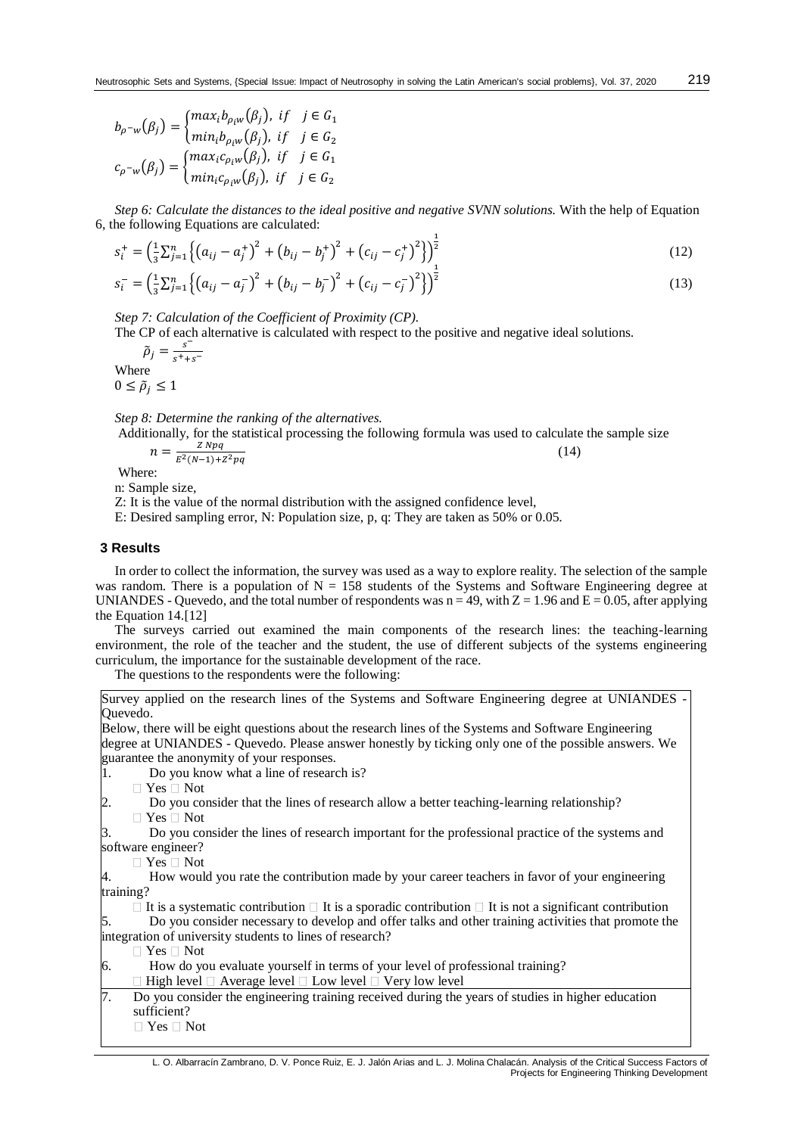$$
b_{\rho^{-w}}(\beta_j) = \begin{cases} max_i b_{\rho_i w}(\beta_j), & \text{if } j \in G_1 \\ min_i b_{\rho_i w}(\beta_j), & \text{if } j \in G_2 \end{cases}
$$
\n
$$
c_{\rho^{-w}}(\beta_j) = \begin{cases} max_i c_{\rho_i w}(\beta_j), & \text{if } j \in G_1 \\ min_i c_{\rho_i w}(\beta_j), & \text{if } j \in G_2 \end{cases}
$$

*Step 6: Calculate the distances to the ideal positive and negative SVNN solutions.* With the help of Equation 6, the following Equations are calculated:

$$
s_i^+ = \left(\frac{1}{3}\sum_{j=1}^n \left\{ (a_{ij} - a_j^+)^2 + (b_{ij} - b_j^+)^2 + (c_{ij} - c_j^+)^2 \right\} \right)_1^{\frac{1}{2}}
$$
(12)

$$
s_i^- = \left(\frac{1}{3}\sum_{j=1}^n \left\{ (a_{ij} - a_j^-)^2 + (b_{ij} - b_j^-)^2 + (c_{ij} - c_j^-)^2 \right\} \right)^2
$$
 (13)

*Step 7: Calculation of the Coefficient of Proximity (CP).* 

The CP of each alternative is calculated with respect to the positive and negative ideal solutions.

 $\tilde{\rho}_j = \frac{s}{s^+ + 1}$  $s^+$ + $s^-$ Where  $0 \leq \tilde{\rho}_i \leq 1$ 

*Step 8: Determine the ranking of the alternatives.* 

Additionally, for the statistical processing the following formula was used to calculate the sample size

(14)

$$
n = \frac{Z N p q}{E^2 (N-1) + Z^2 p q}
$$

Where:

n: Sample size,

Z: It is the value of the normal distribution with the assigned confidence level,

E: Desired sampling error, N: Population size, p, q: They are taken as 50% or 0.05.

#### **3 Results**

In order to collect the information, the survey was used as a way to explore reality. The selection of the sample was random. There is a population of  $N = 158$  students of the Systems and Software Engineering degree at UNIANDES - Quevedo, and the total number of respondents was  $n = 49$ , with  $Z = 1.96$  and  $E = 0.05$ , after applying the Equation 14.[\[12\]](#page-7-9)

The surveys carried out examined the main components of the research lines: the teaching-learning environment, the role of the teacher and the student, the use of different subjects of the systems engineering curriculum, the importance for the sustainable development of the race.

The questions to the respondents were the following:

Survey applied on the research lines of the Systems and Software Engineering degree at UNIANDES - Quevedo.

Below, there will be eight questions about the research lines of the Systems and Software Engineering degree at UNIANDES - Quevedo. Please answer honestly by ticking only one of the possible answers. We guarantee the anonymity of your responses.

1. Do you know what a line of research is?

 $\Box$  Yes  $\Box$  Not

2. Do you consider that the lines of research allow a better teaching-learning relationship?

- $\Box$  Yes  $\Box$  Not
- 3. Do you consider the lines of research important for the professional practice of the systems and software engineer?
	- □ Yes □ Not

4. How would you rate the contribution made by your career teachers in favor of your engineering training?

 $\Box$  It is a systematic contribution  $\Box$  It is a sporadic contribution  $\Box$  It is not a significant contribution 5. Do you consider necessary to develop and offer talks and other training activities that promote the

integration of university students to lines of research?

□ Yes □ Not

6. How do you evaluate yourself in terms of your level of professional training?

- $\Box$  High level  $\Box$  Average level  $\Box$  Low level  $\Box$  Very low level
- 7. Do you consider the engineering training received during the years of studies in higher education sufficient?
	- $\Box$  Yes  $\Box$  Not

219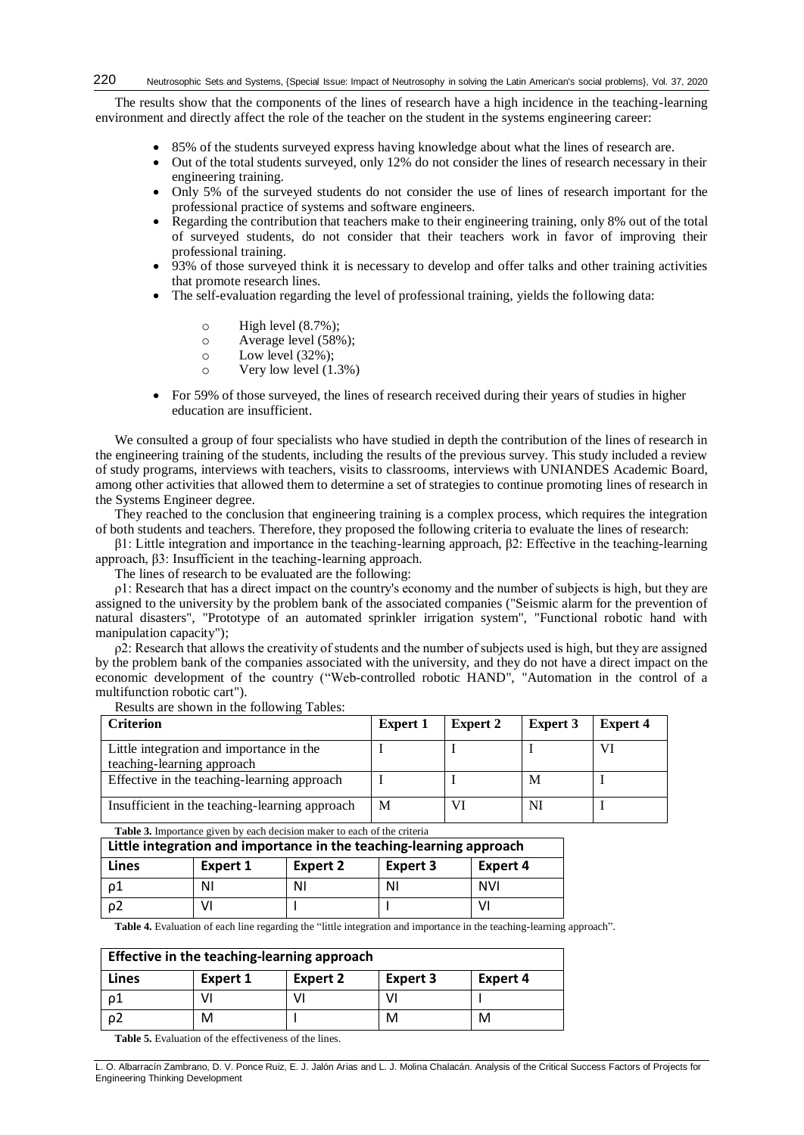The results show that the components of the lines of research have a high incidence in the teaching-learning environment and directly affect the role of the teacher on the student in the systems engineering career:

- 85% of the students surveyed express having knowledge about what the lines of research are.
- Out of the total students surveyed, only 12% do not consider the lines of research necessary in their engineering training.
- Only 5% of the surveyed students do not consider the use of lines of research important for the professional practice of systems and software engineers.
- Regarding the contribution that teachers make to their engineering training, only 8% out of the total of surveyed students, do not consider that their teachers work in favor of improving their professional training.
- 93% of those surveyed think it is necessary to develop and offer talks and other training activities that promote research lines.
- The self-evaluation regarding the level of professional training, yields the following data:
	- $\circ$  High level  $(8.7\%)$ :
	- o Average level (58%);
	- o Low level (32%);
	- o Very low level (1.3%)
- For 59% of those surveyed, the lines of research received during their years of studies in higher education are insufficient.

We consulted a group of four specialists who have studied in depth the contribution of the lines of research in the engineering training of the students, including the results of the previous survey. This study included a review of study programs, interviews with teachers, visits to classrooms, interviews with UNIANDES Academic Board, among other activities that allowed them to determine a set of strategies to continue promoting lines of research in the Systems Engineer degree.

They reached to the conclusion that engineering training is a complex process, which requires the integration of both students and teachers. Therefore, they proposed the following criteria to evaluate the lines of research:

β1: Little integration and importance in the teaching-learning approach, β2: Effective in the teaching-learning approach, β3: Insufficient in the teaching-learning approach.

The lines of research to be evaluated are the following:

ρ1: Research that has a direct impact on the country's economy and the number of subjects is high, but they are assigned to the university by the problem bank of the associated companies ("Seismic alarm for the prevention of natural disasters", "Prototype of an automated sprinkler irrigation system", "Functional robotic hand with manipulation capacity");

 $\rho^2$ : Research that allows the creativity of students and the number of subjects used is high, but they are assigned by the problem bank of the companies associated with the university, and they do not have a direct impact on the economic development of the country ("Web-controlled robotic HAND", "Automation in the control of a multifunction robotic cart").

| <b>Criterion</b>                                                       | <b>Expert 1</b> | <b>Expert 2</b> | <b>Expert 3</b> | <b>Expert 4</b> |
|------------------------------------------------------------------------|-----------------|-----------------|-----------------|-----------------|
| Little integration and importance in the<br>teaching-learning approach |                 |                 |                 |                 |
| Effective in the teaching-learning approach                            |                 |                 | M               |                 |
| Insufficient in the teaching-learning approach                         | М               |                 | NI              |                 |

Results are shown in the following Tables:

| Table 3. Importance given by each decision maker to each of the criteria |          |                 |                 |                 |  |  |
|--------------------------------------------------------------------------|----------|-----------------|-----------------|-----------------|--|--|
| Little integration and importance in the teaching-learning approach      |          |                 |                 |                 |  |  |
| Lines                                                                    | Expert 1 | <b>Expert 2</b> | <b>Expert 3</b> | <b>Expert 4</b> |  |  |
| ρ1                                                                       | ΝI       | ΝI              | ΝI              | <b>NVI</b>      |  |  |
| ρ2<br>V١<br>V.                                                           |          |                 |                 |                 |  |  |

**Table 4.** Evaluation of each line regarding the "little integration and importance in the teaching-learning approach".

| Effective in the teaching-learning approach |          |          |                 |          |
|---------------------------------------------|----------|----------|-----------------|----------|
| Lines                                       | Expert 1 | Expert 2 | <b>Expert 3</b> | Expert 4 |
| ο1                                          |          |          |                 |          |
| $\rho$                                      | м        |          | м               | M        |

**Table 5.** Evaluation of the effectiveness of the lines.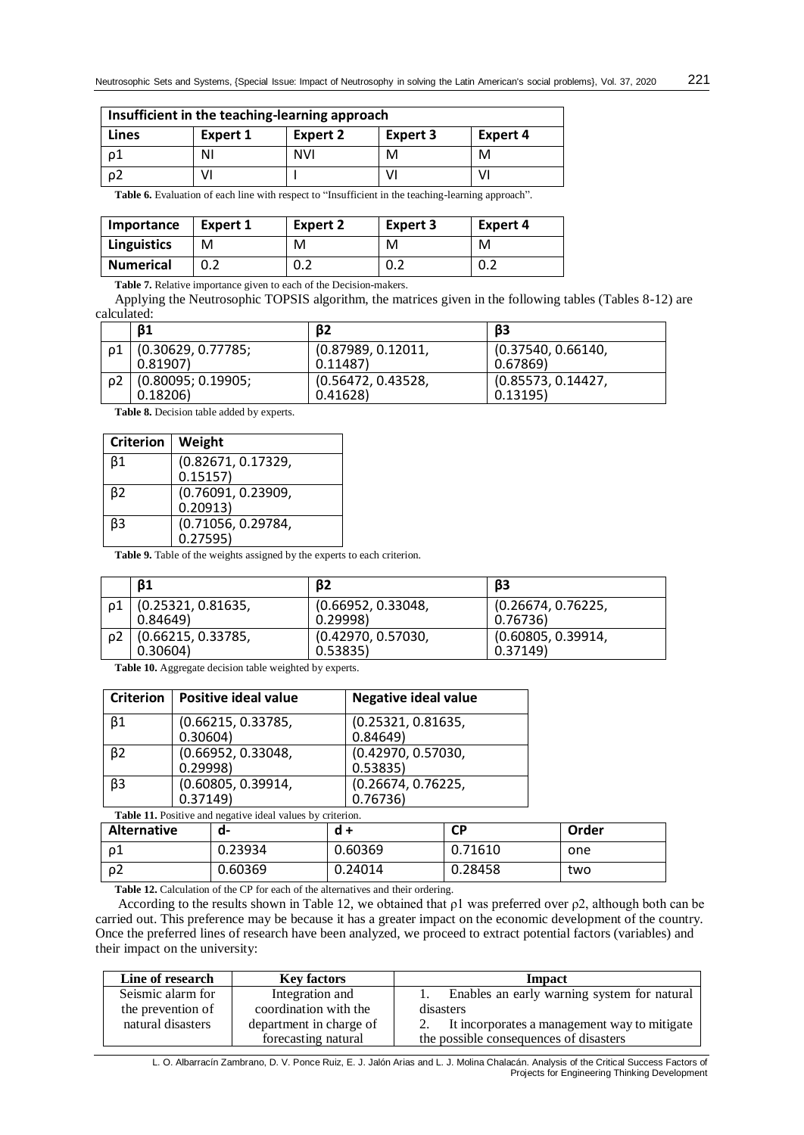| Insufficient in the teaching-learning approach |          |            |          |          |
|------------------------------------------------|----------|------------|----------|----------|
| Lines                                          | Expert 1 | Expert 2   | Expert 3 | Expert 4 |
| ο1                                             | ΝI       | <b>NVI</b> | м        | M        |
| $\rho$                                         |          |            |          | V        |

Table 6. Evaluation of each line with respect to "Insufficient in the teaching-learning approach".

| Importance         | Expert 1 | <b>Expert 2</b> | <b>Expert 3</b> | Expert 4 |
|--------------------|----------|-----------------|-----------------|----------|
| <b>Linguistics</b> | M        | M               | м               | м        |
| <b>Numerical</b>   |          | 0.2             | 0.2             | 0.2      |

**Table 7.** Relative importance given to each of the Decision-makers.

Applying the Neutrosophic TOPSIS algorithm, the matrices given in the following tables (Tables 8-12) are calculated:

| <b>B1</b>          | $\beta$            | β3                 |
|--------------------|--------------------|--------------------|
| (0.30629, 0.77785; | (0.87989, 0.12011, | (0.37540, 0.66140, |
| 0.81907            | 0.11487            | 0.67869            |
| (0.80095; 0.19905; | (0.56472, 0.43528, | (0.85573, 0.14427) |
| 0.18206            | 0.41628            | 0.13195)           |

**Table 8.** Decision table added by experts.

| <b>Criterion</b> | Weight             |
|------------------|--------------------|
| β1               | (0.82671, 0.17329, |
|                  | 0.15157            |
| β2               | (0.76091, 0.23909, |
|                  | 0.20913)           |
| βЗ               | (0.71056, 0.29784, |
|                  | 0.27595)           |

Table 9. Table of the weights assigned by the experts to each criterion.

|    | <b>B1</b>          | B2                 | β3                 |
|----|--------------------|--------------------|--------------------|
|    | (0.25321, 0.81635, | (0.66952, 0.33048, | (0.26674, 0.76225, |
|    | 0.84649            | 0.29998            | 0.76736)           |
| ο2 | (0.66215, 0.33785, | (0.42970, 0.57030, | (0.60805, 0.39914, |
|    | 0.30604)           | 0.53835            | 0.37149            |

**Table 10.** Aggregate decision table weighted by experts.

|                | Criterion   Positive ideal value | <b>Negative ideal value</b>    |
|----------------|----------------------------------|--------------------------------|
| $\beta$ 1      | (0.66215, 0.33785,<br>0.30604)   | (0.25321, 0.81635,<br>0.84649  |
| B <sub>2</sub> | (0.66952, 0.33048,<br>0.29998    | (0.42970, 0.57030,<br>0.53835) |
| $\beta$ 3      | (0.60805, 0.39914,<br>0.37149    | (0.26674, 0.76225,<br>0.76736) |

Table 11. Positive and negative ideal values by criterion.

| <b>Alternative</b> | a-      | d +     | СP      | Order |
|--------------------|---------|---------|---------|-------|
|                    | 0.23934 | 0.60369 | 0.71610 | one   |
| ۵۷.                | 0.60369 | 0.24014 | 0.28458 | two   |

**Table 12.** Calculation of the CP for each of the alternatives and their ordering.

According to the results shown in Table 12, we obtained that  $\rho$ 1 was preferred over  $\rho$ 2, although both can be carried out. This preference may be because it has a greater impact on the economic development of the country. Once the preferred lines of research have been analyzed, we proceed to extract potential factors (variables) and their impact on the university:

| Line of research  | <b>Key factors</b>      | <b>Impact</b>                                |
|-------------------|-------------------------|----------------------------------------------|
| Seismic alarm for | Integration and         | Enables an early warning system for natural  |
| the prevention of | coordination with the   | disasters                                    |
| natural disasters | department in charge of | It incorporates a management way to mitigate |
|                   | forecasting natural     | the possible consequences of disasters       |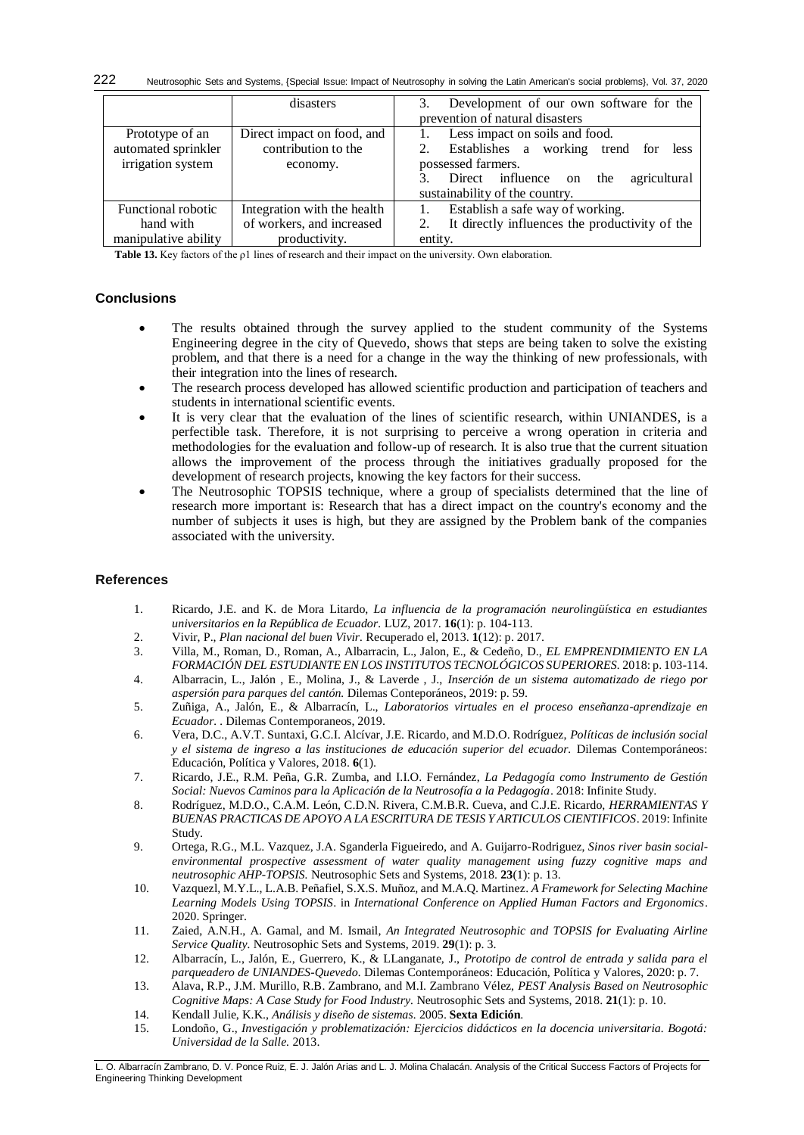Neutrosophic Sets and Systems, {Special Issue: Impact of Neutrosophy in solving the Latin American's social problems}, Vol. 37, 2020 222

|                      | disasters                   | 3. Development of our own software for the<br>prevention of natural disasters |
|----------------------|-----------------------------|-------------------------------------------------------------------------------|
| Prototype of an      | Direct impact on food, and  | Less impact on soils and food.                                                |
| automated sprinkler  | contribution to the         | 2. Establishes a working trend for<br>less                                    |
| irrigation system    | economy.                    | possessed farmers.                                                            |
|                      |                             | agricultural<br>Direct influence on the                                       |
|                      |                             | sustainability of the country.                                                |
| Functional robotic   | Integration with the health | Establish a safe way of working.                                              |
| hand with            | of workers, and increased   | It directly influences the productivity of the                                |
| manipulative ability | productivity.               | entity.                                                                       |

**Table 13.** Key factors of the ρ1 lines of research and their impact on the university. Own elaboration.

# **Conclusions**

- The results obtained through the survey applied to the student community of the Systems Engineering degree in the city of Quevedo, shows that steps are being taken to solve the existing problem, and that there is a need for a change in the way the thinking of new professionals, with their integration into the lines of research.
- The research process developed has allowed scientific production and participation of teachers and students in international scientific events.
- It is very clear that the evaluation of the lines of scientific research, within UNIANDES, is a perfectible task. Therefore, it is not surprising to perceive a wrong operation in criteria and methodologies for the evaluation and follow-up of research. It is also true that the current situation allows the improvement of the process through the initiatives gradually proposed for the development of research projects, knowing the key factors for their success.
- The Neutrosophic TOPSIS technique, where a group of specialists determined that the line of research more important is: Research that has a direct impact on the country's economy and the number of subjects it uses is high, but they are assigned by the Problem bank of the companies associated with the university.

## **References**

- <span id="page-7-0"></span>1. Ricardo, J.E. and K. de Mora Litardo, *La influencia de la programación neurolingüística en estudiantes universitarios en la República de Ecuador.* LUZ, 2017. **16**(1): p. 104-113.
- <span id="page-7-1"></span>2. Vivir, P., *Plan nacional del buen Vivir.* Recuperado el, 2013. **1**(12): p. 2017.
- <span id="page-7-2"></span>3. Villa, M., Roman, D., Roman, A., Albarracin, L., Jalon, E., & Cedeño, D., *EL EMPRENDIMIENTO EN LA FORMACIÓN DEL ESTUDIANTE EN LOS INSTITUTOS TECNOLÓGICOS SUPERIORES.* 2018: p. 103-114.
- <span id="page-7-3"></span>4. Albarracin, L., Jalón , E., Molina, J., & Laverde , J., *Inserción de un sistema automatizado de riego por aspersión para parques del cantón.* Dilemas Conteporáneos, 2019: p. 59.
- <span id="page-7-4"></span>5. Zuñiga, A., Jalón, E., & Albarracín, L., *Laboratorios virtuales en el proceso enseñanza-aprendizaje en Ecuador. .* Dilemas Contemporaneos, 2019.
- <span id="page-7-5"></span>6. Vera, D.C., A.V.T. Suntaxi, G.C.I. Alcívar, J.E. Ricardo, and M.D.O. Rodríguez, *Políticas de inclusión social y el sistema de ingreso a las instituciones de educación superior del ecuador.* Dilemas Contemporáneos: Educación, Política y Valores, 2018. **6**(1).
- <span id="page-7-6"></span>7. Ricardo, J.E., R.M. Peña, G.R. Zumba, and I.I.O. Fernández, *La Pedagogía como Instrumento de Gestión Social: Nuevos Caminos para la Aplicación de la Neutrosofía a la Pedagogía*. 2018: Infinite Study.
- <span id="page-7-7"></span>8. Rodríguez, M.D.O., C.A.M. León, C.D.N. Rivera, C.M.B.R. Cueva, and C.J.E. Ricardo, *HERRAMIENTAS Y BUENAS PRACTICAS DE APOYO A LA ESCRITURA DE TESIS Y ARTICULOS CIENTIFICOS*. 2019: Infinite Study.
- <span id="page-7-8"></span>9. Ortega, R.G., M.L. Vazquez, J.A. Sganderla Figueiredo, and A. Guijarro-Rodriguez, *Sinos river basin socialenvironmental prospective assessment of water quality management using fuzzy cognitive maps and neutrosophic AHP-TOPSIS.* Neutrosophic Sets and Systems, 2018. **23**(1): p. 13.
- 10. Vazquezl, M.Y.L., L.A.B. Peñafiel, S.X.S. Muñoz, and M.A.Q. Martinez. *A Framework for Selecting Machine Learning Models Using TOPSIS*. in *International Conference on Applied Human Factors and Ergonomics*. 2020. Springer.
- 11. Zaied, A.N.H., A. Gamal, and M. Ismail, *An Integrated Neutrosophic and TOPSIS for Evaluating Airline Service Quality.* Neutrosophic Sets and Systems, 2019. **29**(1): p. 3.
- <span id="page-7-9"></span>12. Albarracín, L., Jalón, E., Guerrero, K., & LLanganate, J., *Prototipo de control de entrada y salida para el parqueadero de UNIANDES-Quevedo.* Dilemas Contemporáneos: Educación, Política y Valores, 2020: p. 7.
- 13. Alava, R.P., J.M. Murillo, R.B. Zambrano, and M.I. Zambrano Vélez, *PEST Analysis Based on Neutrosophic Cognitive Maps: A Case Study for Food Industry.* Neutrosophic Sets and Systems, 2018. **21**(1): p. 10.
- 14. Kendall Julie, K.K., *Análisis y diseño de sistemas.* 2005. **Sexta Edición**.
- 15. Londoño, G., *Investigación y problematización: Ejercicios didácticos en la docencia universitaria. Bogotá: Universidad de la Salle.* 2013.